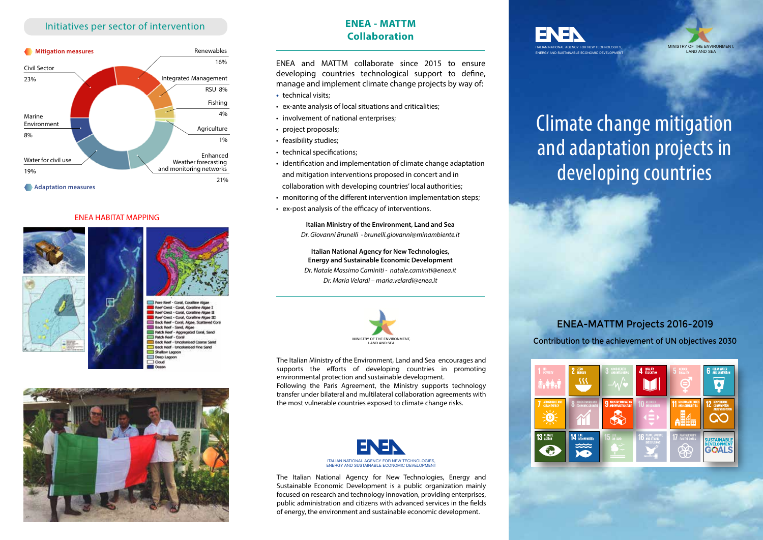## Initiatives per sector of intervention



### ENEA HABITAT MAPPING





Reef Crest - Coral, Coralline Algae: Reef Crest - Coral, Coraline Algae 1 Reef Crest - Coral, Coralline Algae III ack Reef - Coral, Algae, Scattere Back Reef - Sand, Alg Patch Reef - Accoregated Patch Reef - Coral **Back Reef - Uncolonised Coarse Sa Back Reef - Uncolonised Fine San** Shallow Lamon Deep Lagod  $\Box$  Cloud



# **ENEA - MATTM Collaboration**

ENEA and MATTM collaborate since 2015 to ensure developing countries technological support to define, manage and implement climate change projects by way of:

- technical visits:
- ex-ante analysis of local situations and criticalities;
- involvement of national enterprises;
- project proposals;
- feasibility studies;
- technical specifications;
- identification and implementation of climate change adaptation and mitigation interventions proposed in concert and in collaboration with developing countries' local authorities;
- monitoring of the different intervention implementation steps;
- ex-post analysis of the efficacy of interventions.

**Italian Ministry of the Environment, Land and Sea** *Dr. Giovanni Brunelli - brunelli.giovanni@minambiente.it* 

**Italian National Agency for New Technologies, Energy and Sustainable Economic Development**  *Dr. Natale Massimo Caminiti - natale.caminiti@enea.it Dr. Maria Velardi – maria.velardi@enea.it*



The Italian Ministry of the Environment, Land and Sea encourages and supports the efforts of developing countries in promoting environmental protection and sustainable development. Following the Paris Agreement, the Ministry supports technology transfer under bilateral and multilateral collaboration agreements with the most vulnerable countries exposed to climate change risks.



The Italian National Agency for New Technologies, Energy and Sustainable Economic Development is a public organization mainly focused on research and technology innovation, providing enterprises, public administration and citizens with advanced services in the fields of energy, the environment and sustainable economic development.





# Climate change mitigation and adaptation projects in developing countries

# ENEA-MATTM Projects 2016-2019

Contribution to the achievement of UN objectives 2030